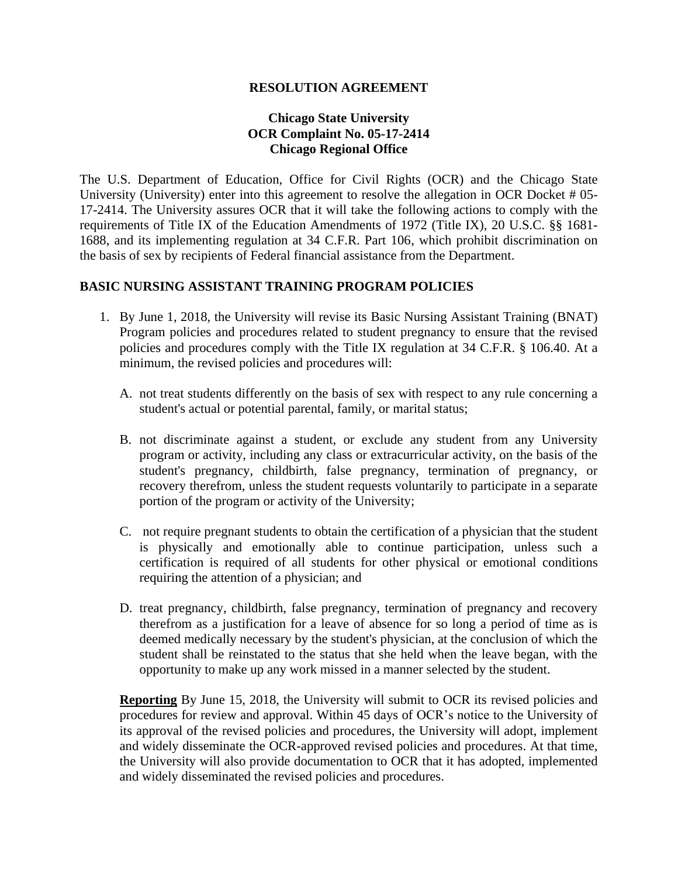## **RESOLUTION AGREEMENT**

## **Chicago State University OCR Complaint No. 05-17-2414 Chicago Regional Office**

The U.S. Department of Education, Office for Civil Rights (OCR) and the Chicago State University (University) enter into this agreement to resolve the allegation in OCR Docket # 05- 17-2414. The University assures OCR that it will take the following actions to comply with the requirements of Title IX of the Education Amendments of 1972 (Title IX), 20 U.S.C. §§ 1681- 1688, and its implementing regulation at 34 C.F.R. Part 106, which prohibit discrimination on the basis of sex by recipients of Federal financial assistance from the Department.

## **BASIC NURSING ASSISTANT TRAINING PROGRAM POLICIES**

- 1. By June 1, 2018, the University will revise its Basic Nursing Assistant Training (BNAT) Program policies and procedures related to student pregnancy to ensure that the revised policies and procedures comply with the Title IX regulation at 34 C.F.R. § 106.40. At a minimum, the revised policies and procedures will:
	- A. not treat students differently on the basis of sex with respect to any rule concerning a student's actual or potential parental, family, or marital status;
	- B. not discriminate against a student, or exclude any student from any University program or activity, including any class or extracurricular activity, on the basis of the student's pregnancy, childbirth, false pregnancy, termination of pregnancy, or recovery therefrom, unless the student requests voluntarily to participate in a separate portion of the program or activity of the University;
	- C. not require pregnant students to obtain the certification of a physician that the student is physically and emotionally able to continue participation, unless such a certification is required of all students for other physical or emotional conditions requiring the attention of a physician; and
	- D. treat pregnancy, childbirth, false pregnancy, termination of pregnancy and recovery therefrom as a justification for a leave of absence for so long a period of time as is deemed medically necessary by the student's physician, at the conclusion of which the student shall be reinstated to the status that she held when the leave began, with the opportunity to make up any work missed in a manner selected by the student.

**Reporting** By June 15, 2018, the University will submit to OCR its revised policies and procedures for review and approval. Within 45 days of OCR's notice to the University of its approval of the revised policies and procedures, the University will adopt, implement and widely disseminate the OCR-approved revised policies and procedures. At that time, the University will also provide documentation to OCR that it has adopted, implemented and widely disseminated the revised policies and procedures.